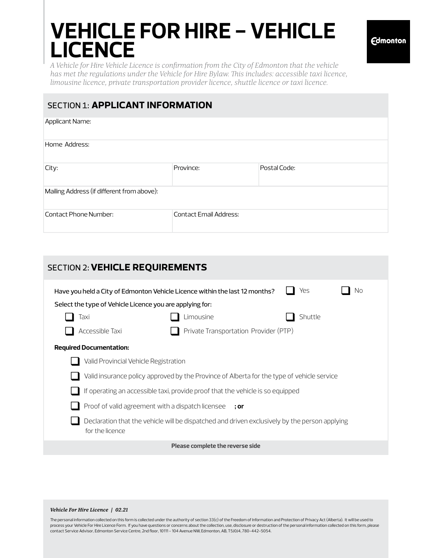# **VEHICLE FOR HIRE - VEHICLE LICENCE**

*A Vehicle for Hire Vehicle Licence is confirmation from the City of Edmonton that the vehicle has met the regulations under the Vehicle for Hire Bylaw. This includes: accessible taxi licence, limousine licence, private transportation provider licence, shuttle licence or taxi licence.*

## SECTION 1: **applicant information**

| Applicant Name:                            |                               |              |  |  |
|--------------------------------------------|-------------------------------|--------------|--|--|
| Home Address:                              |                               |              |  |  |
| City:                                      | Province:                     | Postal Code: |  |  |
| Mailing Address (if different from above): |                               |              |  |  |
| Contact Phone Number:                      | <b>Contact Email Address:</b> |              |  |  |

| <b>SECTION 2: VEHICLE REQUIREMENTS</b>                                                                           |                                       |         |  |  |
|------------------------------------------------------------------------------------------------------------------|---------------------------------------|---------|--|--|
| Yes<br>Nο<br>Have you held a City of Edmonton Vehicle Licence within the last 12 months?                         |                                       |         |  |  |
| Select the type of Vehicle Licence you are applying for:                                                         |                                       |         |  |  |
| Taxi                                                                                                             | Limousine                             | Shuttle |  |  |
| Accessible Taxi                                                                                                  | Private Transportation Provider (PTP) |         |  |  |
| <b>Required Documentation:</b>                                                                                   |                                       |         |  |  |
| Valid Provincial Vehicle Registration                                                                            |                                       |         |  |  |
| Valid insurance policy approved by the Province of Alberta for the type of vehicle service                       |                                       |         |  |  |
| If operating an accessible taxi, provide proof that the vehicle is so equipped                                   |                                       |         |  |  |
| Proof of valid agreement with a dispatch licensee ; or                                                           |                                       |         |  |  |
| Declaration that the vehicle will be dispatched and driven exclusively by the person applying<br>for the licence |                                       |         |  |  |
| Please complete the reverse side                                                                                 |                                       |         |  |  |

### *Vehicle For Hire Licence | 02.21*

The personal information collected on this form is collected under the authority of section 33(c) of the Freedom of Information and Protection of Privacy Act (Alberta). It will be used to process your Vehicle For Hire Licence Form. If you have questions or concerns about the collection, use, disclosure or destruction of the personal information collected on this form, please contact Service Advisor, Edmonton Service Centre, 2nd floor, 10111 - 104 Avenue NW, Edmonton, AB, T5J0J4, 780-442-5054.